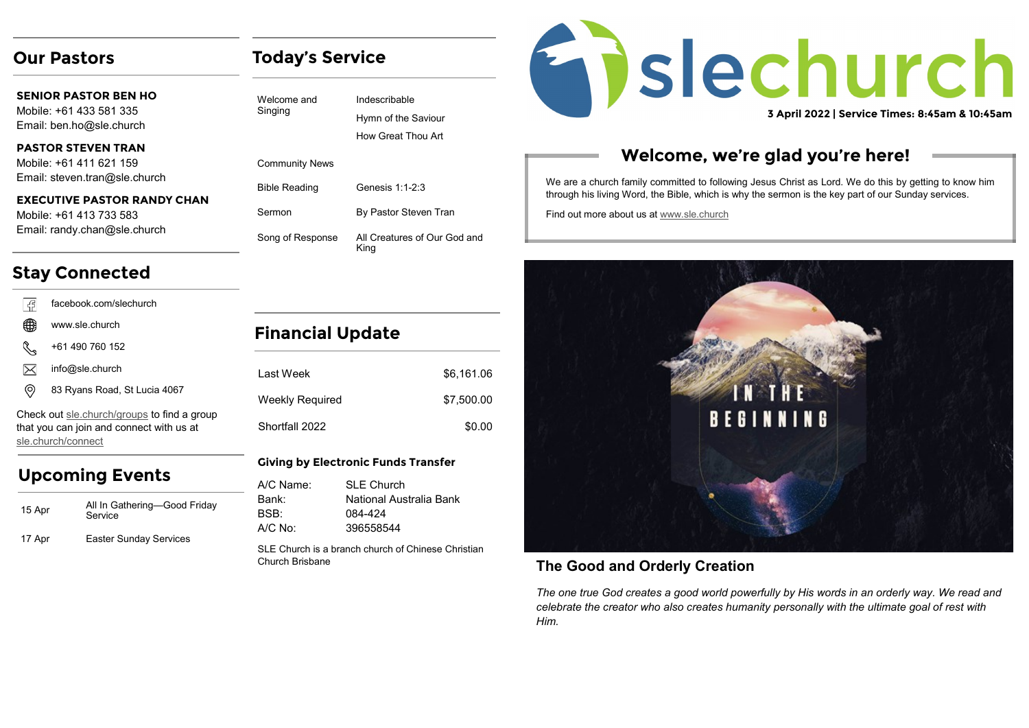## **Our Pastors**

**SENIOR PASTOR BEN HO** Mobile: +61 433 581 335 Email: ben.ho@sle.church

## **PASTOR STEVEN TRAN**

Mobile: +61 411 621 159 Email: steven.tran@sle.church

#### **EXECUTIVE PASTOR RANDY CHAN**

Mobile: +61 413 733 583 Email: randy.chan@sle.church

## **Stay Connected**

| අ facebook.com/slechurch www.sle.church +61 490 760 152  $\boxtimes$ info@sle.church (ම 83 Ryans Road, St Lucia 4067

Check out [sle.church/groups](https://sle.church/groups) to find a group that you can join and connect with us at [sle.church/connect](https://sle.church/connect)

# **Upcoming Events**

| 15 Apr | All In Gathering—Good Friday<br>Service |
|--------|-----------------------------------------|
| 17 Apr | <b>Easter Sunday Services</b>           |

# **Today's Service**

Indescribable Hymn of the Saviour How Great Thou Art

Community News

Welcome and Singing

| <b>Bible Reading</b> | Genesis 1:1-2:3                      |
|----------------------|--------------------------------------|
| Sermon               | By Pastor Steven Tran                |
| Song of Response     | All Creatures of Our God and<br>King |

## **Financial Update**

| I ast Week      | \$6,161.06 |
|-----------------|------------|
| Weekly Required | \$7,500.00 |
| Shortfall 2022  | \$0.00     |

## **Giving by Electronic Funds Transfer**

| A/C Name: | <b>SLE Church</b>       |
|-----------|-------------------------|
| Bank:     | National Australia Bank |
| BSB:      | 084-424                 |
| $A/C$ No: | 396558544               |

SLE Church is a branch church of Chinese Christian Church Brisbane

# Enslechurch

**3 April 2022 | Service Times: 8:45am & 10:45am**

# **Welcome, we're glad you're here!**

We are a church family committed to following Jesus Christ as Lord. We do this by getting to know him through his living Word, the Bible, which is why the sermon is the key part of our Sunday services.

Find out more about us at [www.sle.church](https://sle.church/)



## **The Good and Orderly Creation**

*The one true God creates a good world powerfully by His words in an orderly way. We read and celebrate the creator who also creates humanity personally with the ultimate goal of rest with Him.*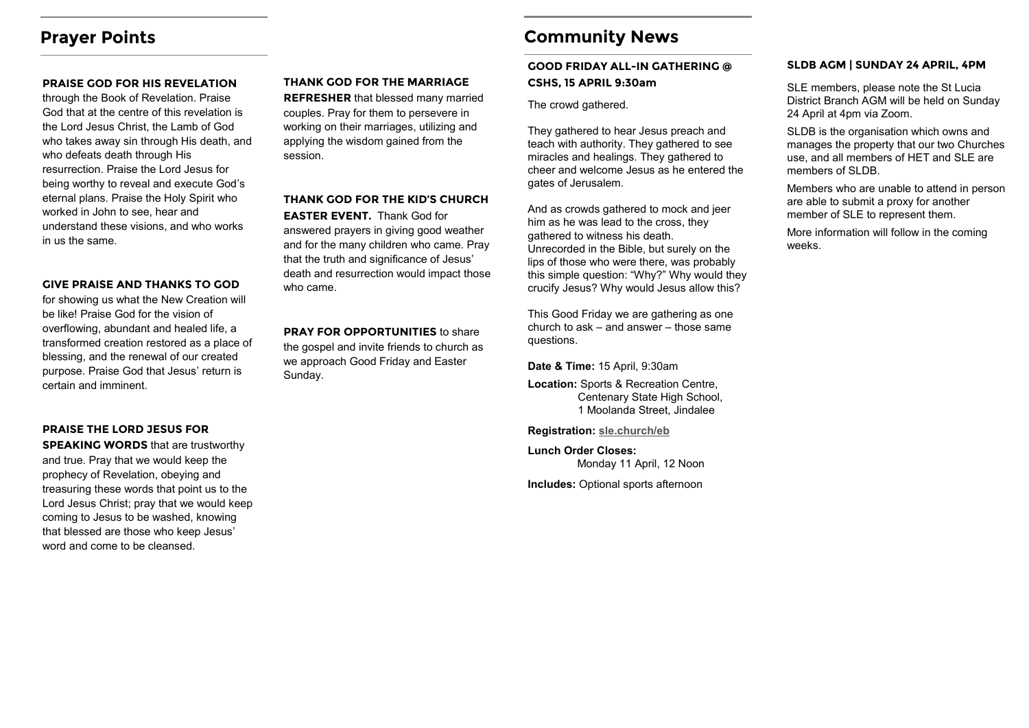## **Prayer Points**

#### **PRAISE GOD FOR HIS REVELATION**

through the Book of Revelation. Praise God that at the centre of this revelation is the Lord Jesus Christ, the Lamb of God who takes away sin through His death, and who defeats death through His resurrection. Praise the Lord Jesus for being worthy to reveal and execute God's eternal plans. Praise the Holy Spirit who worked in John to see, hear and understand these visions, and who works in us the same.

#### **GIVE PRAISE AND THANKS TO GOD**

for showing us what the New Creation will be like! Praise God for the vision of overflowing, abundant and healed life, a transformed creation restored as a place of blessing, and the renewal of our created purpose. Praise God that Jesus' return is certain and imminent.

#### **PRAISE THE LORD JESUS FOR**

**SPEAKING WORDS** that are trustworthy and true. Pray that we would keep the prophecy of Revelation, obeying and treasuring these words that point us to the Lord Jesus Christ; pray that we would keep coming to Jesus to be washed, knowing that blessed are those who keep Jesus' word and come to be cleansed.

#### **THANK GOD FOR THE MARRIAGE**

**REFRESHER** that blessed many married couples. Pray for them to persevere in working on their marriages, utilizing and applying the wisdom gained from the session.

## **THANK GOD FOR THE KID'S CHURCH**

**EASTER EVENT.** Thank God for answered prayers in giving good weather and for the many children who came. Pray that the truth and significance of Jesus' death and resurrection would impact those who came.

**PRAY FOR OPPORTUNITIES** to share the gospel and invite friends to church as we approach Good Friday and Easter Sunday.

## **Community News**

## **GOOD FRIDAY ALL-IN GATHERING @ CSHS, 15 APRIL 9:30am**

The crowd gathered.

They gathered to hear Jesus preach and teach with authority. They gathered to see miracles and healings. They gathered to cheer and welcome Jesus as he entered the gates of Jerusalem.

And as crowds gathered to mock and jeer him as he was lead to the cross, they gathered to witness his death. Unrecorded in the Bible, but surely on the lips of those who were there, was probably this simple question: "Why?" Why would they crucify Jesus? Why would Jesus allow this?

This Good Friday we are gathering as one church to ask – and answer – those same questions.

**Date & Time:** 15 April, 9:30am

**Location:** Sports & Recreation Centre, Centenary State High School, 1 Moolanda Street, Jindalee

**Registration: [sle.church/eb](https://www.eventbrite.com.au/o/sle-church-17137096797)**

**Lunch Order Closes:**  Monday 11 April, 12 Noon

**Includes:** Optional sports afternoon

#### **SLDB AGM | SUNDAY 24 APRIL, 4PM**

SLE members, please note the St Lucia District Branch AGM will be held on Sunday 24 April at 4pm via Zoom.

SLDB is the organisation which owns and manages the property that our two Churches use, and all members of HET and SLE are members of SLDB.

Members who are unable to attend in person are able to submit a proxy for another member of SLE to represent them.

More information will follow in the coming weeks.